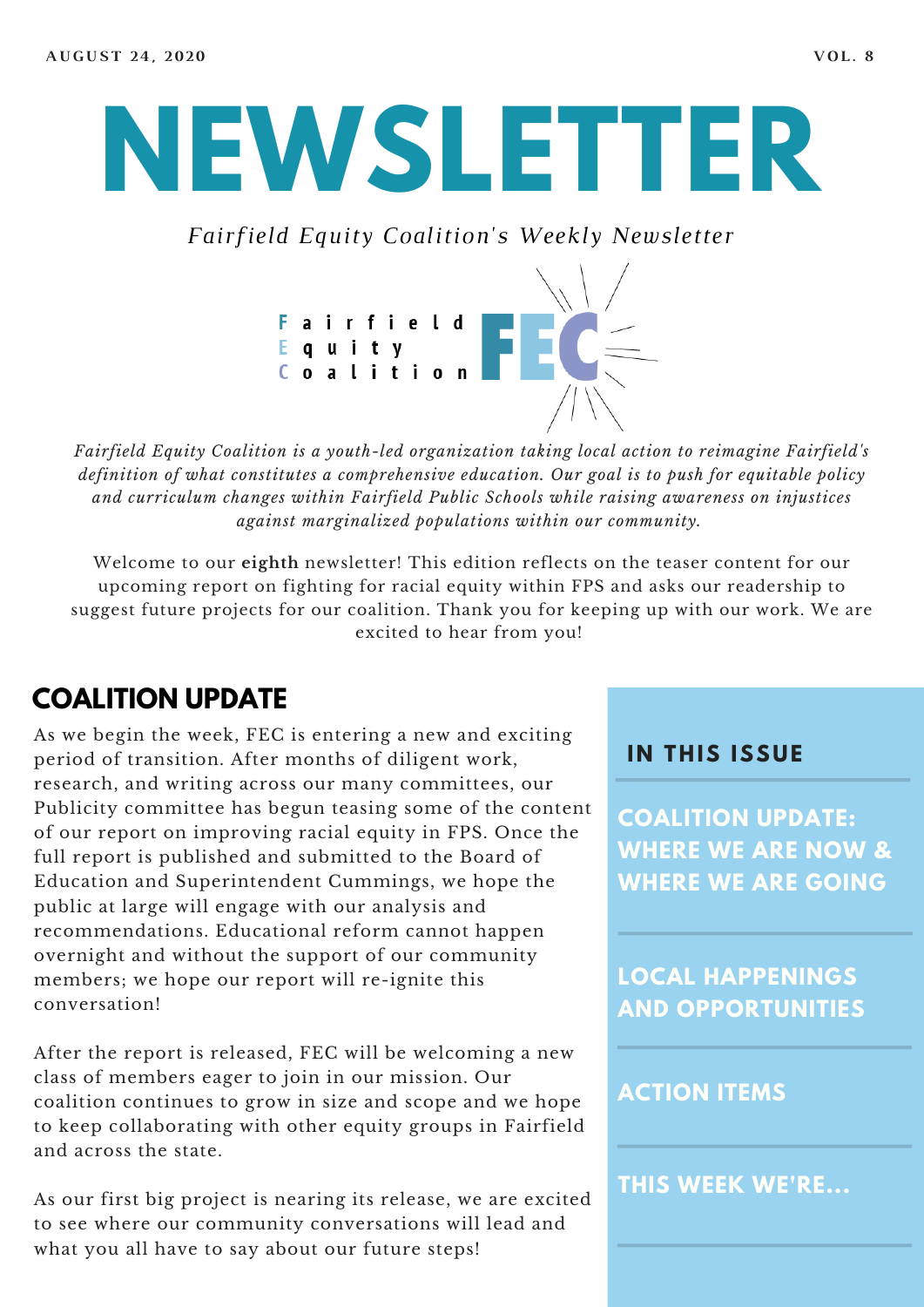# **NEWSLETTER**

*Fairfield Equity Coalition's Weekly Newsletter*



*Fairfield Equity Coalition is a youth-led organization taking local action to reimagine Fairfield's definition of what constitutes a comprehensive education. Our goal is to push for equitable policy and curriculum changes within Fairfield Public Schools while raising awareness on injustices against marginalized populations within our community.*

Welcome to our **eighth** newsletter! This edition reflects on the teaser content for our upcoming report on fighting for racial equity within FPS and asks our readership to suggest future projects for our coalition. Thank you for keeping up with our work. We are excited to hear from you!

## **COALITION UPDATE**

As we begin the week, FEC is entering a new and exciting period of transition. After months of diligent work, research, and writing across our many committees, our Publicity committee has begun teasing some of the content of our report on improving racial equity in FPS. Once the full report is published and submitted to the Board of Education and Superintendent Cummings, we hope the public at large will engage with our analysis and recommendations. Educational reform cannot happen overnight and without the support of our community members; we hope our report will re-ignite this conversation!

After the report is released, FEC will be welcoming a new class of members eager to join in our mission. Our coalition continues to grow in size and scope and we hope to keep collaborating with other equity groups in Fairfield and across the state.

As our first big project is nearing its release, we are excited to see where our community conversations will lead and what you all have to say about our future steps!

#### **I N THIS ISSUE**

**COALITION UPDATE: WHERE WE ARE NOW & WHERE WE ARE GOING**

**LOCAL HAPPENINGS AND OPPORTUNITIES**

#### **ACTION ITEMS**

**THIS WEEK WE'RE...**